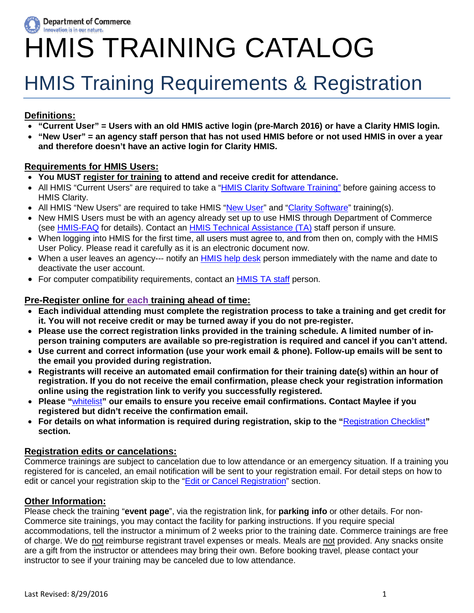

# HMIS TRAINING CATALOG

# HMIS Training Requirements & Registration

### **Definitions:**

- **"Current User" = Users with an old HMIS active login (pre-March 2016) or have a Clarity HMIS login.**
- **"New User" = an agency staff person that has not used HMIS before or not used HMIS in over a year and therefore doesn't have an active login for Clarity HMIS.**

### **Requirements for HMIS Users:**

- **You MUST register for training to attend and receive credit for attendance.**
- All HMIS "Current Users" are required to take a ["HMIS Clarity](#page-1-0) Software Training" before gaining access to HMIS Clarity.
- All HMIS "New Users" are required to take HMIS ["New User"](#page-1-1) and "Clarity [Software"](#page-1-0) training(s).
- New HMIS Users must be with an agency already set up to use HMIS through Department of Commerce (see [HMIS-FAQ](http://www.commerce.wa.gov/wp-content/uploads/2016/07/HAU-HMIS-FAQ-2015.pdf) for details). Contact an [HMIS Technical Assistance \(TA\)](http://www.commerce.wa.gov/wp-content/uploads/2015/11/HAU-HMIS-Contacts-7-19-2016.pdf) staff person if unsure*.*
- When logging into HMIS for the first time, all users must agree to, and from then on, comply with the HMIS User Policy. Please read it carefully as it is an electronic document now.
- When a user leaves an agency--- notify an [HMIS help desk](http://www.commerce.wa.gov/wp-content/uploads/2015/11/HAU-HMIS-Contacts-7-19-2016.pdf) person immediately with the name and date to deactivate the user account.
- For computer compatibility requirements, contact an [HMIS](http://www.commerce.wa.gov/wp-content/uploads/2015/11/HAU-HMIS-Contacts-7-19-2016.pdf) TA staff person.

### **Pre-Register online for each training ahead of time:**

- **Each individual attending must complete the registration process to take a training and get credit for it. You will not receive credit or may be turned away if you do not pre-register.**
- **Please use the correct registration links provided in the training schedule. A limited number of inperson training computers are available so pre-registration is required and cancel if you can't attend.**
- **Use current and correct information (use your work email & phone). Follow-up emails will be sent to the email you provided during registration.**
- **Registrants will receive an automated email confirmation for their training date(s) within an hour of registration. If you do not receive the email confirmation, please check your registration information online using the registration link to verify you successfully registered.**
- **Please "**[whitelist](#page-9-0)**" our emails to ensure you receive email confirmations. Contact Maylee if you registered but didn't receive the confirmation email.**
- **For details on what information is required during registration, skip to the "**[Registration Checklist](#page-5-0)**" section.**

### **Registration edits or cancelations:**

Commerce trainings are subject to cancelation due to low attendance or an emergency situation. If a training you registered for is canceled, an email notification will be sent to your registration email. For detail steps on how to edit or cancel your registration skip to the ["Edit or Cancel Registration"](#page-7-0) section.

### **Other Information:**

Please check the training "**event page**", via the registration link, for **parking info** or other details. For non-Commerce site trainings, you may contact the facility for parking instructions. If you require special accommodations, tell the instructor a minimum of 2 weeks prior to the training date. Commerce trainings are free of charge. We do not reimburse registrant travel expenses or meals. Meals are not provided. Any snacks onsite are a gift from the instructor or attendees may bring their own. Before booking travel, please contact your instructor to see if your training may be canceled due to low attendance.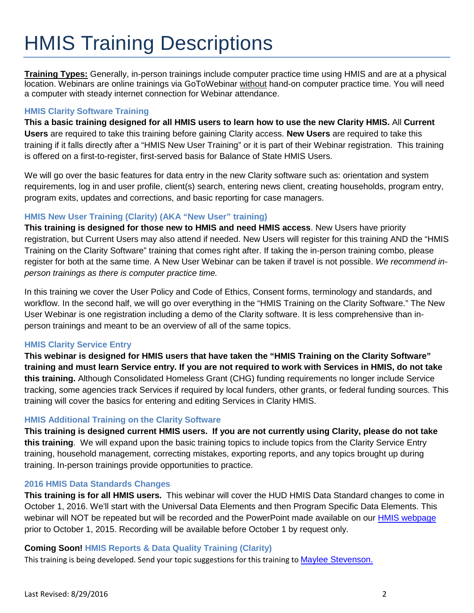# <span id="page-1-3"></span>HMIS Training Descriptions

<span id="page-1-2"></span>**Training Types:** Generally, in-person trainings include computer practice time using HMIS and are at a physical location. Webinars are online trainings via GoToWebinar without hand-on computer practice time. You will need a computer with steady internet connection for Webinar attendance.

### <span id="page-1-0"></span>**HMIS Clarity Software Training**

**This a basic training designed for all HMIS users to learn how to use the new Clarity HMIS.** All **Current Users** are required to take this training before gaining Clarity access. **New Users** are required to take this training if it falls directly after a "HMIS New User Training" or it is part of their Webinar registration. This training is offered on a first-to-register, first-served basis for Balance of State HMIS Users.

We will go over the basic features for data entry in the new Clarity software such as: orientation and system requirements, log in and user profile, client(s) search, entering news client, creating households, program entry, program exits, updates and corrections, and basic reporting for case managers.

### <span id="page-1-5"></span><span id="page-1-1"></span>**HMIS New User Training (Clarity) (AKA "New User" training)**

**This training is designed for those new to HMIS and need HMIS access**. New Users have priority registration, but Current Users may also attend if needed. New Users will register for this training AND the "HMIS Training on the Clarity Software" training that comes right after. If taking the in-person training combo, please register for both at the same time. A New User Webinar can be taken if travel is not possible. *We recommend inperson trainings as there is computer practice time.* 

<span id="page-1-6"></span>In this training we cover the User Policy and Code of Ethics, Consent forms, terminology and standards, and workflow. In the second half, we will go over everything in the "HMIS Training on the Clarity Software." The New User Webinar is one registration including a demo of the Clarity software. It is less comprehensive than inperson trainings and meant to be an overview of all of the same topics.

### <span id="page-1-4"></span>**HMIS Clarity Service Entry**

**This webinar is designed for HMIS users that have taken the "HMIS Training on the Clarity Software" training and must learn Service entry. If you are not required to work with Services in HMIS, do not take this training.** Although Consolidated Homeless Grant (CHG) funding requirements no longer include Service tracking, some agencies track Services if required by local funders, other grants, or federal funding sources. This training will cover the basics for entering and editing Services in Clarity HMIS.

### **HMIS Additional Training on the Clarity Software**

**This training is designed current HMIS users. If you are not currently using Clarity, please do not take this training**. We will expand upon the basic training topics to include topics from the Clarity Service Entry training, household management, correcting mistakes, exporting reports, and any topics brought up during training. In-person trainings provide opportunities to practice.

### **2016 HMIS Data Standards Changes**

**This training is for all HMIS users.** This webinar will cover the HUD HMIS Data Standard changes to come in October 1, 2016. We'll start with the Universal Data Elements and then Program Specific Data Elements. This webinar will NOT be repeated but will be recorded and the PowerPoint made available on our [HMIS webpage](http://www.commerce.wa.gov/hmis) prior to October 1, 2015. Recording will be available before October 1 by request only.

### **Coming Soon! HMIS Reports & Data Quality Training (Clarity)**

This training is being developed. Send your topic suggestions for this training to [Maylee Stevenson.](mailto:maylee.stevenson@commerce.wa.gov?subject=HMIS%20Training%20Schedule)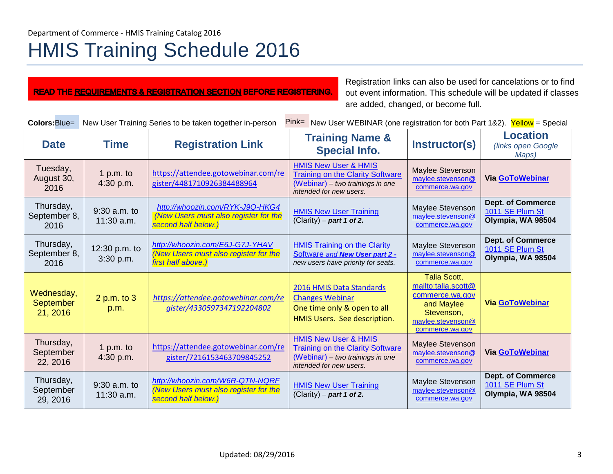# HMIS Training Schedule 2016

| <b>READ THE REQUIREMENTS &amp; REGISTRATION SECTION BEFORE REGISTERING.</b> |  |
|-----------------------------------------------------------------------------|--|
|-----------------------------------------------------------------------------|--|

Registration links can also be used for cancelations or to find out event information. This schedule will be updated if classes are added, changed, or become full.

| Colors: Blue=                              | Pink= New User WEBINAR (one registration for both Part 1&2).<br>New User Training Series to be taken together in-person<br>Yellow = Special |                                                                                                 |                                                                                                                                           |                                                                                                                                   |                                                                  |
|--------------------------------------------|---------------------------------------------------------------------------------------------------------------------------------------------|-------------------------------------------------------------------------------------------------|-------------------------------------------------------------------------------------------------------------------------------------------|-----------------------------------------------------------------------------------------------------------------------------------|------------------------------------------------------------------|
| <b>Date</b>                                | <b>Time</b>                                                                                                                                 | <b>Registration Link</b>                                                                        | <b>Training Name &amp;</b><br><b>Special Info.</b>                                                                                        | Instructor(s)                                                                                                                     | <b>Location</b><br>(links open Google<br>Maps)                   |
| Tuesday,<br>August 30,<br>2016             | 1 p.m. to<br>4:30 p.m.                                                                                                                      | https://attendee.gotowebinar.com/re<br>gister/4481710926384488964                               | <b>HMIS New User &amp; HMIS</b><br><b>Training on the Clarity Software</b><br>(Webinar) - two trainings in one<br>intended for new users. | Maylee Stevenson<br>maylee.stevenson@<br>commerce.wa.gov                                                                          | Via GoToWebinar                                                  |
| Thursday,<br>September 8,<br>2016          | 9:30 a.m. to<br>$11:30$ a.m.                                                                                                                | http://whoozin.com/RYK-J9Q-HKG4<br>(New Users must also register for the<br>second half below.) | <b>HMIS New User Training</b><br>(Clarity) – part 1 of 2.                                                                                 | Maylee Stevenson<br>maylee.stevenson@<br>commerce.wa.gov                                                                          | <b>Dept. of Commerce</b><br>1011 SE Plum St<br>Olympia, WA 98504 |
| Thursday,<br>September 8,<br>2016          | 12:30 p.m. to<br>3:30 p.m.                                                                                                                  | http://whoozin.com/E6J-G7J-YHAV<br>(New Users must also register for the<br>first half above.)  | <b>HMIS Training on the Clarity</b><br>Software and New User part 2 -<br>new users have priority for seats.                               | Maylee Stevenson<br>maylee.stevenson@<br>commerce.wa.gov                                                                          | <b>Dept. of Commerce</b><br>1011 SE Plum St<br>Olympia, WA 98504 |
| Wednesday,<br><b>September</b><br>21, 2016 | 2 p.m. to 3<br>p.m.                                                                                                                         | https://attendee.gotowebinar.com/re<br>qister/4330597347192204802                               | 2016 HMIS Data Standards<br><b>Changes Webinar</b><br>One time only & open to all<br>HMIS Users. See description.                         | <b>Talia Scott,</b><br>mailto:talia.scott@<br>commerce.wa.gov<br>and Maylee<br>Stevenson,<br>maylee.stevenson@<br>commerce.wa.gov | <b>Via GoToWebinar</b>                                           |
| Thursday,<br>September<br>22, 2016         | 1 p.m. to<br>4:30 p.m.                                                                                                                      | https://attendee.gotowebinar.com/re<br>gister/7216153463709845252                               | <b>HMIS New User &amp; HMIS</b><br><b>Training on the Clarity Software</b><br>(Webinar) - two trainings in one<br>intended for new users. | Maylee Stevenson<br>maylee.stevenson@<br>commerce.wa.gov                                                                          | Via GoToWebinar                                                  |
| Thursday,<br>September<br>29, 2016         | 9:30 a.m. to<br>$11:30$ a.m.                                                                                                                | http://whoozin.com/W6R-QTN-NQRF<br>(New Users must also register for the<br>second half below.) | <b>HMIS New User Training</b><br>(Clarity) – part 1 of 2.                                                                                 | Maylee Stevenson<br>maylee.stevenson@<br>commerce.wa.gov                                                                          | <b>Dept. of Commerce</b><br>1011 SE Plum St<br>Olympia, WA 98504 |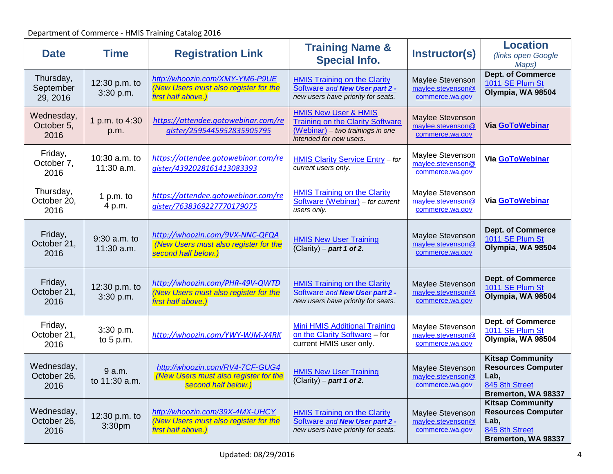| <b>Date</b>                        | <b>Time</b>                 | <b>Registration Link</b>                                                                        | <b>Training Name &amp;</b><br><b>Special Info.</b>                                                                                        | Instructor(s)                                            | <b>Location</b><br>(links open Google<br>Maps)                                                        |
|------------------------------------|-----------------------------|-------------------------------------------------------------------------------------------------|-------------------------------------------------------------------------------------------------------------------------------------------|----------------------------------------------------------|-------------------------------------------------------------------------------------------------------|
| Thursday,<br>September<br>29, 2016 | 12:30 p.m. to<br>3:30 p.m.  | http://whoozin.com/XMY-YM6-P9UE<br>(New Users must also register for the<br>first half above.)  | <b>HMIS Training on the Clarity</b><br>Software and New User part 2 -<br>new users have priority for seats.                               | Maylee Stevenson<br>maylee.stevenson@<br>commerce.wa.gov | <b>Dept. of Commerce</b><br>1011 SE Plum St<br>Olympia, WA 98504                                      |
| Wednesday,<br>October 5,<br>2016   | 1 p.m. to 4:30<br>p.m.      | https://attendee.gotowebinar.com/re<br>qister/2595445952835905795                               | <b>HMIS New User &amp; HMIS</b><br><b>Training on the Clarity Software</b><br>(Webinar) - two trainings in one<br>intended for new users. | Maylee Stevenson<br>maylee.stevenson@<br>commerce.wa.gov | Via GoToWebinar                                                                                       |
| Friday,<br>October 7,<br>2016      | 10:30 a.m. to<br>11:30 a.m. | https://attendee.gotowebinar.com/re<br>gister/4392028161413083393                               | <b>HMIS Clarity Service Entry - for</b><br>current users only.                                                                            | Maylee Stevenson<br>maylee.stevenson@<br>commerce.wa.gov | Via GoToWebinar                                                                                       |
| Thursday,<br>October 20,<br>2016   | 1 p.m. to<br>4 p.m.         | https://attendee.gotowebinar.com/re<br>gister/7638369227770179075                               | <b>HMIS Training on the Clarity</b><br>Software (Webinar) - for current<br>users only.                                                    | Maylee Stevenson<br>maylee.stevenson@<br>commerce.wa.gov | Via GoToWebinar                                                                                       |
| Friday,<br>October 21,<br>2016     | 9:30 a.m. to<br>11:30 a.m.  | http://whoozin.com/9VX-NNC-QFQA<br>(New Users must also register for the<br>second half below.) | <b>HMIS New User Training</b><br>$(Clarity)$ – part 1 of 2.                                                                               | Maylee Stevenson<br>maylee.stevenson@<br>commerce.wa.gov | <b>Dept. of Commerce</b><br>1011 SE Plum St<br>Olympia, WA 98504                                      |
| Friday,<br>October 21,<br>2016     | 12:30 p.m. to<br>3:30 p.m.  | http://whoozin.com/PHR-49V-QWTD<br>(New Users must also register for the<br>first half above.)  | <b>HMIS Training on the Clarity</b><br>Software and New User part 2 -<br>new users have priority for seats.                               | Maylee Stevenson<br>maylee.stevenson@<br>commerce.wa.gov | <b>Dept. of Commerce</b><br>1011 SE Plum St<br>Olympia, WA 98504                                      |
| Friday,<br>October 21,<br>2016     | 3:30 p.m.<br>to $5 p.m.$    | http://whoozin.com/YWY-WJM-X4RK                                                                 | <b>Mini HMIS Additional Training</b><br>on the Clarity Software - for<br>current HMIS user only.                                          | Maylee Stevenson<br>maylee.stevenson@<br>commerce.wa.gov | Dept. of Commerce<br>1011 SE Plum St<br>Olympia, WA 98504                                             |
| Wednesday,<br>October 26,<br>2016  | 9a.m.<br>to 11:30 a.m.      | http://whoozin.com/RV4-7CF-GUG4<br>(New Users must also register for the<br>second half below.) | <b>HMIS New User Training</b><br>(Clarity) – part 1 of 2.                                                                                 | Maylee Stevenson<br>maylee.stevenson@<br>commerce.wa.gov | <b>Kitsap Community</b><br><b>Resources Computer</b><br>Lab,<br>845 8th Street<br>Bremerton, WA 98337 |
| Wednesday,<br>October 26,<br>2016  | 12:30 p.m. to<br>3:30pm     | http://whoozin.com/39X-4MX-UHCY<br>(New Users must also register for the<br>first half above.)  | <b>HMIS Training on the Clarity</b><br>Software and New User part 2 -<br>new users have priority for seats.                               | Maylee Stevenson<br>maylee.stevenson@<br>commerce.wa.gov | <b>Kitsap Community</b><br><b>Resources Computer</b><br>Lab,<br>845 8th Street<br>Bremerton, WA 98337 |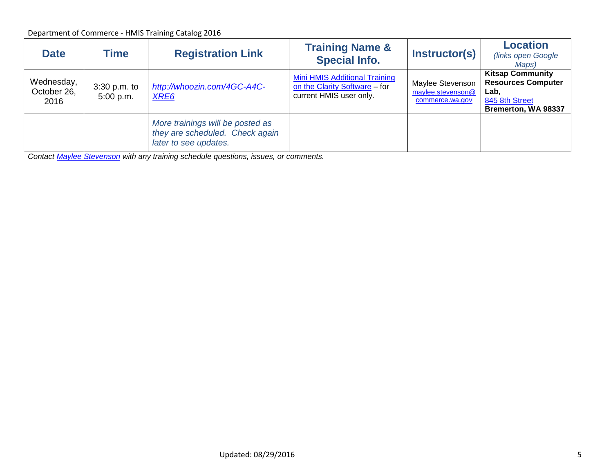| <b>Date</b>                       | <b>Time</b>                 | <b>Registration Link</b>                                                                     | <b>Training Name &amp;</b><br><b>Special Info.</b>                                        | Instructor(s)                                            | <b>Location</b><br>(links open Google<br>Maps)                                                        |
|-----------------------------------|-----------------------------|----------------------------------------------------------------------------------------------|-------------------------------------------------------------------------------------------|----------------------------------------------------------|-------------------------------------------------------------------------------------------------------|
| Wednesday,<br>October 26,<br>2016 | $3:30$ p.m. to<br>5:00 p.m. | http://whoozin.com/4GC-A4C-<br>XRE <sub>6</sub>                                              | Mini HMIS Additional Training<br>on the Clarity Software - for<br>current HMIS user only. | Maylee Stevenson<br>maylee.stevenson@<br>commerce.wa.gov | <b>Kitsap Community</b><br><b>Resources Computer</b><br>Lab,<br>845 8th Street<br>Bremerton, WA 98337 |
|                                   |                             | More trainings will be posted as<br>they are scheduled. Check again<br>later to see updates. |                                                                                           |                                                          |                                                                                                       |

*Contact [Maylee Stevenson](mailto:maylee.stevenson@commerce.wa.gov?subject=HMIS%20Training%20Schedule) with any training schedule questions, issues, or comments.*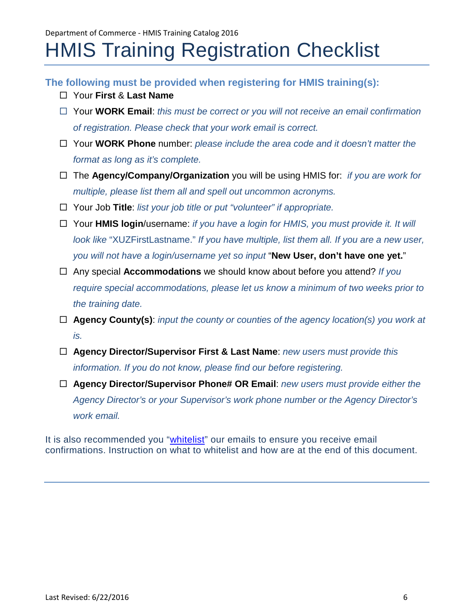## <span id="page-5-0"></span>HMIS Training Registration Checklist

**The following must be provided when registering for HMIS training(s):**

- Your **First** & **Last Name**
- Your **WORK Email**: *this must be correct or you will not receive an email confirmation of registration. Please check that your work email is correct.*
- Your **WORK Phone** number: *please include the area code and it doesn't matter the format as long as it's complete.*
- The **Agency/Company/Organization** you will be using HMIS for: *if you are work for multiple, please list them all and spell out uncommon acronyms.*
- Your Job **Title**: *list your job title or put "volunteer" if appropriate.*
- Your **HMIS login**/username: *if you have a login for HMIS, you must provide it. It will look like* "XUZFirstLastname." *If you have multiple, list them all. If you are a new user, you will not have a login/username yet so input* "**New User, don't have one yet.**"
- Any special **Accommodations** we should know about before you attend? *If you require special accommodations, please let us know a minimum of two weeks prior to the training date.*
- **Agency County(s)**: *input the county or counties of the agency location(s) you work at is.*
- **Agency Director/Supervisor First & Last Name**: *new users must provide this information. If you do not know, please find our before registering.*
- **Agency Director/Supervisor Phone# OR Email**: *new users must provide either the Agency Director's or your Supervisor's work phone number or the Agency Director's work email.*

It is also recommended you ["whitelist"](#page-9-0) our emails to ensure you receive email confirmations. Instruction on what to whitelist and how are at the end of this document.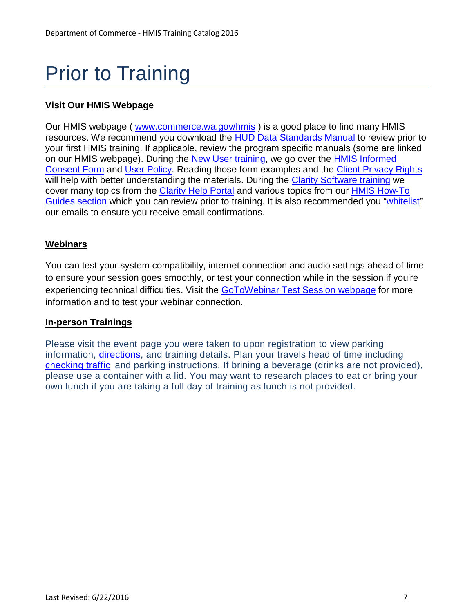# Prior to Training

### **Visit Our HMIS Webpage**

Our HMIS webpage ( [www.commerce.wa.gov/hmis](http://www.commerce.wa.gov/hmis) ) is a good place to find many HMIS resources. We recommend you download the [HUD Data Standards Manual](https://www.hudexchange.info/resource/3826/hmis-data-standards-manual/) to review prior to your first HMIS training. If applicable, review the program specific manuals (some are linked on our HMIS webpage). During the [New User training,](#page-1-1) we go over the [HMIS Informed](http://www.commerce.wa.gov/wp-content/uploads/2016/07/HAU-HMIS-Consent-Form-3-22-2016.pdf)  [Consent Form](http://www.commerce.wa.gov/wp-content/uploads/2016/07/HAU-HMIS-Consent-Form-3-22-2016.pdf) and [User Policy.](http://www.commerce.wa.gov/wp-content/uploads/2016/07/HAU-HMIS-User-Agreement-2-28-16.pdf) Reading those form examples and the [Client Privacy Rights](http://www.commerce.wa.gov/wp-content/uploads/2016/07/HAU-HMIS-Client-Privacy-Notice-2015.docx) will help with better understanding the materials. During the [Clarity Software training](#page-1-0) we cover many topics from the [Clarity Help Portal](http://help.clarityhs.com/) and various topics from our [HMIS How-To](http://www.commerce.wa.gov/serving-communities/homelessness/hmis/)  [Guides section](http://www.commerce.wa.gov/serving-communities/homelessness/hmis/) which you can review prior to training. It is also recommended you ["whitelist"](#page-9-0) our emails to ensure you receive email confirmations.

### **Webinars**

You can test your system compatibility, internet connection and audio settings ahead of time to ensure your session goes smoothly, or test your connection while in the session if you're experiencing technical difficulties. Visit the [GoToWebinar Test Session webpage](http://support.citrixonline.com/en_US/webinar/all_files/G2W060001) for more information and to test your webinar connection.

### **In-person Trainings**

Please visit the event page you were taken to upon registration to view parking information, [directions,](http://www.commerce.wa.gov/contact-us/) and training details. Plan your travels head of time including [checking traffic](http://www.wsdot.com/traffic/) and parking instructions. If brining a beverage (drinks are not provided), please use a container with a lid. You may want to research places to eat or bring your own lunch if you are taking a full day of training as lunch is not provided.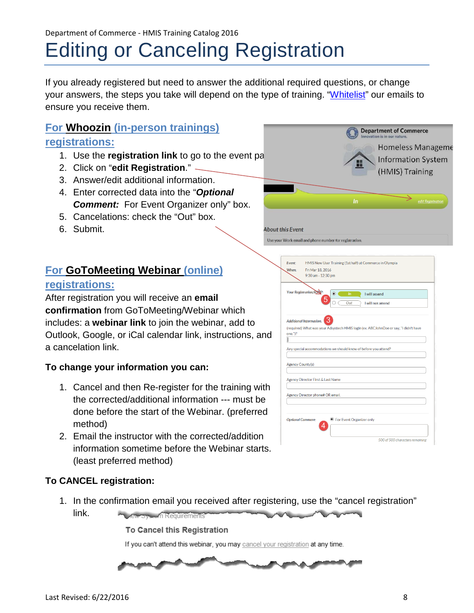<span id="page-7-0"></span>If you already registered but need to answer the additional required questions, or change your answers, the steps you take will depend on the type of training. ["Whitelist"](#page-9-0) our emails to ensure you receive them.

**About this Event** 

### **For Whoozin (in-person trainings) registrations:**

- 1. Use the **registration link** to go to the event pa
- 2. Click on "**edit Registration**."
- 3. Answer/edit additional information.
- 4. Enter corrected data into the "*Optional Comment:* For Event Organizer only" box.
- 5. Cancelations: check the "Out" box.
- 6. Submit.

### **For GoToMeeting Webinar (online)**

### **registrations:**

After registration you will receive an **email confirmation** from GoToMeeting/Webinar which includes: a **webinar link** to join the webinar, add to Outlook, Google, or iCal calendar link, instructions, and a cancelation link.

### **To change your information you can:**

- 1. Cancel and then Re-register for the training with the corrected/additional information --- must be done before the start of the Webinar. (preferred method)
- 2. Email the instructor with the corrected/addition information sometime before the Webinar starts. (least preferred method)

| When:   | HMIS New User Training (1st half) at Commerce in Olympia<br>Fri Mar 18, 2016<br>9:30 am - 12:30 pm                                                      |
|---------|---------------------------------------------------------------------------------------------------------------------------------------------------------|
|         | Your Registration/RSWP:<br>$\circ$<br>ln<br>I will attend<br>Out<br>I will not attend                                                                   |
| one.")? | (required) What was your Adsystech HMIS login (ex. ABCJohnDoe or say, "I didn't have<br>Any special accommodations we should know of before you attend? |
|         | <b>Agency County(s)</b>                                                                                                                                 |
|         | Agency Director First & Last Name                                                                                                                       |
|         | Agency Director phone# OR email.                                                                                                                        |
|         |                                                                                                                                                         |

**Department of Commerce** 

Homeless Manageme **Information System** (HMIS) Training

### **To CANCEL registration:**

1. In the confirmation email you received after registering, use the "cancel registration" link. **Chronough Requirements** 

To Cancel this Registration If you can't attend this webinar, you may cancel your registration at any time.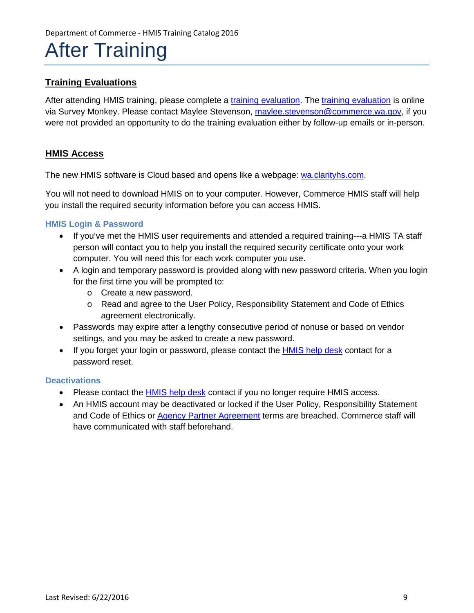### After Training

### **Training Evaluations**

After attending HMIS training, please complete a [training evaluation.](https://www.surveymonkey.com/r/HMISclass) The [training evaluation](https://www.surveymonkey.com/r/HMISclass) is online via Survey Monkey. Please contact Maylee Stevenson, [maylee.stevenson@commerce.wa.gov,](mailto:maylee.stevenson@commerce.wa.gov) if you were not provided an opportunity to do the training evaluation either by follow-up emails or in-person.

### **HMIS Access**

The new HMIS software is Cloud based and opens like a webpage: [wa.clarityhs.com.](https://wa.clarityhs.com/)

You will not need to download HMIS on to your computer. However, Commerce HMIS staff will help you install the required security information before you can access HMIS.

### **HMIS Login & Password**

- If you've met the HMIS user requirements and attended a required training---a HMIS TA staff person will contact you to help you install the required security certificate onto your work computer. You will need this for each work computer you use.
- A login and temporary password is provided along with new password criteria. When you login for the first time you will be prompted to:
	- o Create a new password.
	- o Read and agree to the User Policy, Responsibility Statement and Code of Ethics agreement electronically.
- Passwords may expire after a lengthy consecutive period of nonuse or based on vendor settings, and you may be asked to create a new password.
- If you forget your login or password, please contact the [HMIS help desk](http://www.commerce.wa.gov/Documents/HMIS_TA_Staff.pdf) contact for a password reset.

### **Deactivations**

- Please contact the [HMIS help desk](http://www.commerce.wa.gov/Documents/HMIS_TA_Staff.pdf) contact if you no longer require HMIS access.
- An HMIS account may be deactivated or locked if the User Policy, Responsibility Statement and Code of Ethics or [Agency Partner Agreement](http://commerce.wa.gov/Documents/HMIS_Agency_Partner_Agreement-FINAL_2-24-2016.pdf) terms are breached. Commerce staff will have communicated with staff beforehand.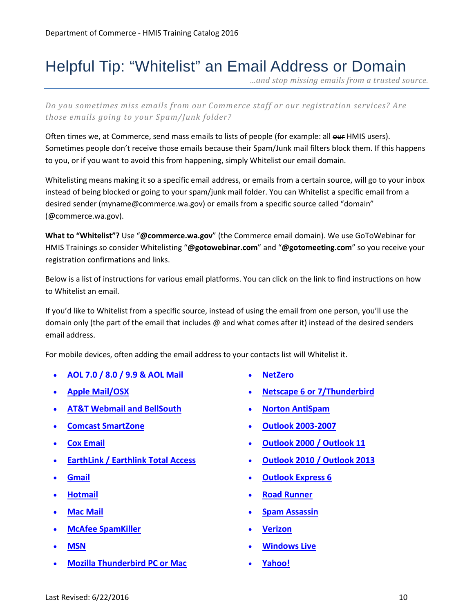### <span id="page-9-0"></span>Helpful Tip: "Whitelist" an Email Address or Domain

*...and stop missing emails from a trusted source.* 

*Do you sometimes miss emails from our Commerce staff or our registration services? Are those emails going to your Spam/Junk folder?* 

Often times we, at Commerce, send mass emails to lists of people (for example: all our HMIS users). Sometimes people don't receive those emails because their Spam/Junk mail filters block them. If this happens to you, or if you want to avoid this from happening, simply Whitelist our email domain.

Whitelisting means making it so a specific email address, or emails from a certain source, will go to your inbox instead of being blocked or going to your spam/junk mail folder. You can Whitelist a specific email from a desired sender (myname@commerce.wa.gov) or emails from a specific source called "domain" (@commerce.wa.gov).

**What to "Whitelist"?** Use "**@commerce.wa.gov**" (the Commerce email domain). We use GoToWebinar for HMIS Trainings so consider Whitelisting "**@gotowebinar.com**" and "**@gotomeeting.com**" so you receive your registration confirmations and links.

Below is a list of instructions for various email platforms. You can click on the link to find instructions on how to Whitelist an email.

If you'd like to Whitelist from a specific source, instead of using the email from one person, you'll use the domain only (the part of the email that includes @ and what comes after it) instead of the desired senders email address.

For mobile devices, often adding the email address to your contacts list will Whitelist it.

- **[AOL 7.0 / 8.0 / 9.9 & AOL Mail](#page-10-0)**
- **[Apple Mail/](#page-10-1)OSX**
- **[AT&T Webmail and BellSouth](#page-10-2)**
- **[Comcast SmartZone](#page-10-3)**
- **[Cox Email](#page-10-4)**
- **[EarthLink / Earthlink Total Access](#page-10-5)**
- **[Gmail](#page-11-0)**
- **[Hotmail](#page-11-1)**
- **[Mac Mail](#page-11-2)**
- **[McAfee SpamKiller](#page-11-3)**
- **[MSN](#page-11-4)**
- **[Mozilla](#page-11-5) Thunderbird PC or Mac**
- **[NetZero](#page-11-6)**
- **[Netscape 6 or 7/](#page-11-7)Thunderbird**
- **[Norton AntiSpam](#page-12-0)**
- **[Outlook 2003-2007](#page-12-1)**
- **[Outlook 2000 / Outlook 11](#page-12-2)**
- **[Outlook 2010 / Outlook 2013](#page-12-3)**
- **[Outlook Express 6](#page-12-4)**
- **[Road Runner](#page-12-5)**
- **[Spam Assassin](#page-13-0)**
- **[Verizon](#page-13-1)**
- **[Windows Live](#page-13-2)**
- **[Yahoo!](#page-13-3)**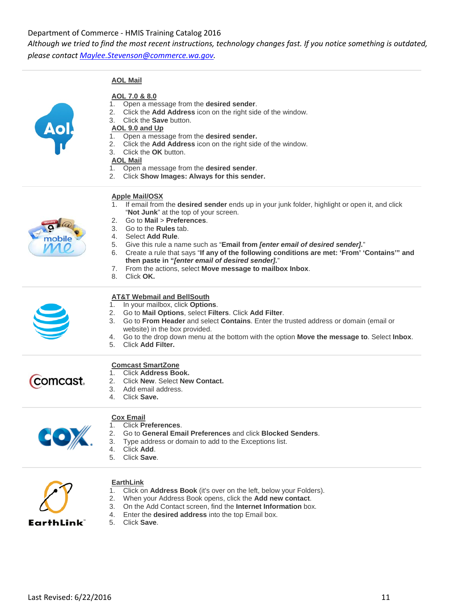*Although we tried to find the most recent instructions, technology changes fast. If you notice something is outdated,* 

*please contact [Maylee.Stevenson@commerce.wa.gov.](mailto:Maylee.Stevenson@commerce.wa.gov)* 

<span id="page-10-1"></span><span id="page-10-0"></span>**AOL Mail**

| <b>Apple Mail/OSX</b><br>If email from the desired sender ends up in your junk folder, highlight or open it, and click<br>"Not Junk" at the top of your screen.<br>Go to Mail > Preferences.<br>2.<br>Go to the <b>Rules</b> tab.<br>3.<br>Select Add Rule.<br>4.<br>nobile<br>5. Give this rule a name such as "Email from <i>[enter email of desired sender].</i> "<br>6. Create a rule that says "If any of the following conditions are met: 'From' 'Contains'" and<br>then paste in "[enter email of desired sender]."<br>7. From the actions, select Move message to mailbox Inbox.<br>8. Click OK. |
|-----------------------------------------------------------------------------------------------------------------------------------------------------------------------------------------------------------------------------------------------------------------------------------------------------------------------------------------------------------------------------------------------------------------------------------------------------------------------------------------------------------------------------------------------------------------------------------------------------------|
|                                                                                                                                                                                                                                                                                                                                                                                                                                                                                                                                                                                                           |
| <b>AT&amp;T Webmail and BellSouth</b><br>1. In your mailbox, click Options.<br>Go to Mail Options, select Filters. Click Add Filter.<br>2.<br>Go to From Header and select Contains. Enter the trusted address or domain (email or<br>3.<br>website) in the box provided.<br>Go to the drop down menu at the bottom with the option Move the message to. Select Inbox.<br>4.<br><b>Click Add Filter.</b><br>5.                                                                                                                                                                                            |
| <b>Comcast SmartZone</b><br>1. Click Address Book.<br>comcast.<br>Click New. Select New Contact.<br>2.<br>3.<br>Add email address.<br>Click Save.<br>4                                                                                                                                                                                                                                                                                                                                                                                                                                                    |
| <b>Cox Email</b><br>1. Click Preferences.<br>2.<br>Go to General Email Preferences and click Blocked Senders.<br>3.<br>Type address or domain to add to the Exceptions list.<br>Click Add.<br>4.<br>Click Save.<br>5.                                                                                                                                                                                                                                                                                                                                                                                     |

1. Click on **Address Book** (it's over on the left, below your Folders). 2. When your Address Book opens, click the **Add new contact**. 3. On the Add Contact screen, find the **Internet Information** box.

4. Enter the **desired address** into the top Email box.



<span id="page-10-5"></span><span id="page-10-4"></span><span id="page-10-3"></span><span id="page-10-2"></span>**EarthLink**

5. Click **Save**.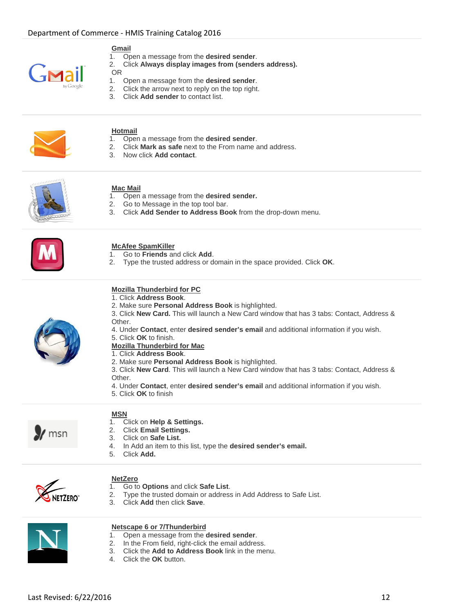

#### <span id="page-11-0"></span>**Gmail**

- 1. Open a message from the **desired sender**.
- 2. Click **Always display images from (senders address).**
- OR
- 1. Open a message from the **desired sender**.
- 2. Click the arrow next to reply on the top right.
- 3. Click **Add sender** to contact list.



### <span id="page-11-1"></span>**Hotmail**

- 1. Open a message from the **desired sender**.
- 2. Click **Mark as safe** next to the From name and address.
- 3. Now click **Add contact**.



### <span id="page-11-2"></span>**Mac Mail**

- 1. Open a message from the **desired sender.**
- 2. Go to Message in the top tool bar.
- 3. Click **Add Sender to Address Book** from the drop-down menu.



### <span id="page-11-3"></span>**McAfee SpamKiller**

- 1. Go to **Friends** and click **Add**.
- 2. Type the trusted address or domain in the space provided. Click **OK**.

### <span id="page-11-5"></span>**Mozilla Thunderbird for PC**

- 1. Click **Address Book**.
- 2. Make sure **Personal Address Book** is highlighted.
- 3. Click **New Card.** This will launch a New Card window that has 3 tabs: Contact, Address & Other.
- 4. Under **Contact**, enter **desired sender's email** and additional information if you wish.
- 5. Click **OK** to finish.

#### **Mozilla Thunderbird for Mac** 1. Click **Address Book**.

- 2. Make sure **Personal Address Book** is highlighted.
- 3. Click **New Card**. This will launch a New Card window that has 3 tabs: Contact, Address & Other.
- 4. Under **Contact**, enter **desired sender's email** and additional information if you wish.
- 5. Click **OK** to finish



### <span id="page-11-4"></span>**MSN**

- 1. Click on **Help & Settings.**
- 2. Click **Email Settings.**
- 3. Click on **Safe List.**
- 4. In Add an item to this list, type the **desired sender's email.**
- 5. Click **Add.**



### <span id="page-11-6"></span>**NetZero**<br>1. Go to

- 1. Go to **Options** and click **Safe List**.
- Type the trusted domain or address in Add Address to Safe List.
- 3. Click **Add** then click **Save**.



#### <span id="page-11-7"></span>**Netscape 6 or 7/Thunderbird**

- 1. Open a message from the **desired sender**.
- 2. In the From field, right-click the email address.
- 3. Click the **Add to Address Book** link in the menu.
- 4. Click the **OK** button.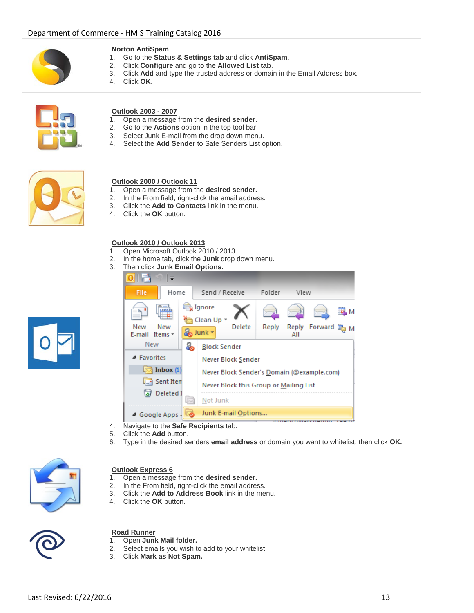

### <span id="page-12-0"></span>**Norton AntiSpam**<br>1. Go to the **Statu**

- 1. Go to the **Status & Settings tab** and click **AntiSpam**.
- 2. Click **Configure** and go to the **Allowed List tab**.
- 3. Click **Add** and type the trusted address or domain in the Email Address box.
- 4. Click **OK**.



### <span id="page-12-1"></span>**Outlook 2003 - 2007**

- 1. Open a message from the **desired sender**.
- 2. Go to the **Actions** option in the top tool bar.
- 3. Select Junk E-mail from the drop down menu.
- 4. Select the **Add Sender** to Safe Senders List option.



### <span id="page-12-2"></span>**Outlook 2000 / Outlook 11**

- 1. Open a message from the **desired sender.**
- 2. In the From field, right-click the email address.
- 3. Click the **Add to Contacts** link in the menu.
- 4. Click the **OK** button.

### **Outlook 2010 / Outlook 2013**

- 1. Open Microsoft Outlook 2010 / 2013.
- 2. In the home tab, click the **Junk** drop down menu.
- 3. Then click **Junk Email Options.**

<span id="page-12-3"></span>

- 4. Navigate to the **Safe Recipients** tab.
- 5. Click the **Add** button.
- 6. Type in the desired senders **email address** or domain you want to whitelist, then click **OK.**



#### <span id="page-12-4"></span>**Outlook Express 6**

- 1. Open a message from the **desired sender.**
- 2. In the From field, right-click the email address.<br>3. Click the **Add to Address Book** link in the me
- 3. Click the **Add to Address Book** link in the menu.
- 4. Click the **OK** button.



### <span id="page-12-5"></span>**Road Runner**

- 1. Open **Junk Mail folder.**
- 2. Select emails you wish to add to your whitelist.
- 3. Click **Mark as Not Spam.**